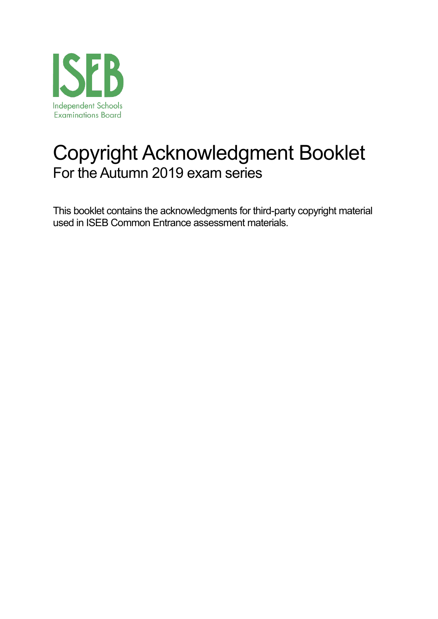

# Copyright Acknowledgment Booklet For the Autumn 2019 exam series

This booklet contains the acknowledgments for third-party copyright material used in ISEB Common Entrance assessment materials.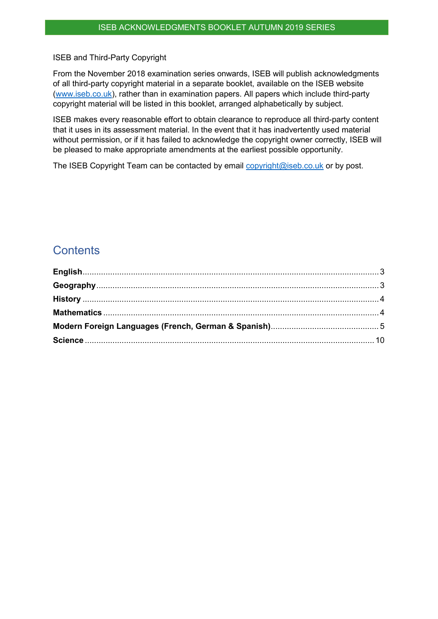#### ISEB and Third-Party Copyright

From the November 2018 examination series onwards, ISEB will publish acknowledgments of all third-party copyright material in a separate booklet, available on the ISEB website [\(www.iseb.co.uk\)](http://www.iseb.co.uk/), rather than in examination papers. All papers which include third-party copyright material will be listed in this booklet, arranged alphabetically by subject.

ISEB makes every reasonable effort to obtain clearance to reproduce all third-party content that it uses in its assessment material. In the event that it has inadvertently used material without permission, or if it has failed to acknowledge the copyright owner correctly, ISEB will be pleased to make appropriate amendments at the earliest possible opportunity.

The ISEB Copyright Team can be contacted by email [copyright@iseb.co.uk](mailto:copyright@iseb.co.uk) or by post.

## **Contents**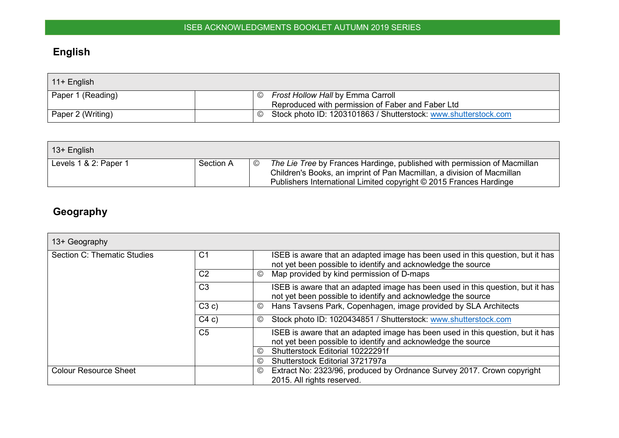# **English**

| $\vert$ 11+ English |                                                                                  |
|---------------------|----------------------------------------------------------------------------------|
| Paper 1 (Reading)   | <b>Frost Hollow Hall by Emma Carroll</b><br>$\odot$                              |
|                     | Reproduced with permission of Faber and Faber Ltd                                |
| Paper 2 (Writing)   | Stock photo ID: 1203101863 / Shutterstock: www.shutterstock.com<br>$\circled{c}$ |

| 13+ English           |           |                |                                                                                                                                                                                                                          |
|-----------------------|-----------|----------------|--------------------------------------------------------------------------------------------------------------------------------------------------------------------------------------------------------------------------|
| Levels 1 & 2: Paper 1 | Section A | $\circledcirc$ | The Lie Tree by Frances Hardinge, published with permission of Macmillan<br>Children's Books, an imprint of Pan Macmillan, a division of Macmillan<br>Publishers International Limited copyright © 2015 Frances Hardinge |

# **Geography**

<span id="page-2-1"></span><span id="page-2-0"></span>

| 13+ Geography                      |                |                                                                                                                                                |
|------------------------------------|----------------|------------------------------------------------------------------------------------------------------------------------------------------------|
| <b>Section C: Thematic Studies</b> | C <sub>1</sub> | ISEB is aware that an adapted image has been used in this question, but it has<br>not yet been possible to identify and acknowledge the source |
|                                    | C <sub>2</sub> | Map provided by kind permission of D-maps<br>$\circledcirc$                                                                                    |
|                                    | C <sub>3</sub> | ISEB is aware that an adapted image has been used in this question, but it has<br>not yet been possible to identify and acknowledge the source |
|                                    | C3c)           | Hans Tavsens Park, Copenhagen, image provided by SLA Architects<br>$\circledcirc$                                                              |
|                                    | C4c)           | Stock photo ID: 1020434851 / Shutterstock: www.shutterstock.com<br>$\circledcirc$                                                              |
|                                    | C <sub>5</sub> | ISEB is aware that an adapted image has been used in this question, but it has<br>not yet been possible to identify and acknowledge the source |
|                                    |                | Shutterstock Editorial 10222291f<br>O)                                                                                                         |
|                                    |                | Shutterstock Editorial 3721797a<br>O)                                                                                                          |
| <b>Colour Resource Sheet</b>       |                | Extract No: 2323/96, produced by Ordnance Survey 2017. Crown copyright<br>$\circledcirc$                                                       |
|                                    |                | 2015. All rights reserved.                                                                                                                     |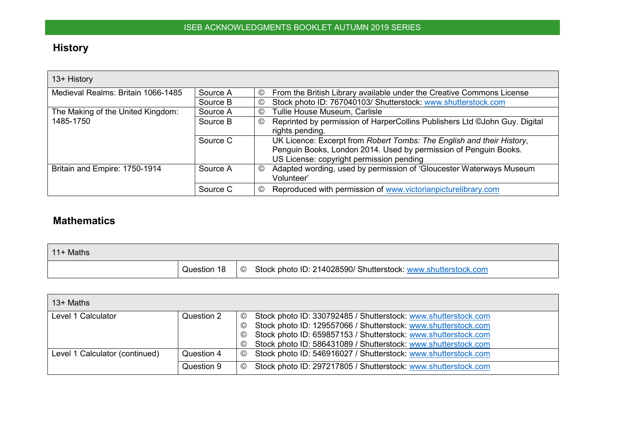# **History**

| 13+ History                        |          |                |                                                                            |
|------------------------------------|----------|----------------|----------------------------------------------------------------------------|
| Medieval Realms: Britain 1066-1485 | Source A | ©              | From the British Library available under the Creative Commons License      |
|                                    | Source B | ©              | Stock photo ID: 767040103/ Shutterstock: www.shutterstock.com              |
| The Making of the United Kingdom:  | Source A | ©              | Tullie House Museum, Carlisle                                              |
| 1485-1750                          | Source B | ©              | Reprinted by permission of HarperCollins Publishers Ltd ©John Guy. Digital |
|                                    |          |                | rights pending.                                                            |
|                                    | Source C |                | UK Licence: Excerpt from Robert Tombs: The English and their History,      |
|                                    |          |                | Penguin Books, London 2014. Used by permission of Penguin Books.           |
|                                    |          |                | US License: copyright permission pending                                   |
| Britain and Empire: 1750-1914      | Source A | $\circledcirc$ | Adapted wording, used by permission of 'Gloucester Waterways Museum        |
|                                    |          |                | Volunteer'                                                                 |
|                                    | Source C | ©              | Reproduced with permission of www.victorianpicturelibrary.com              |

# <span id="page-3-0"></span>**Mathematics**

| l 11+ Maths |                     |                                                               |
|-------------|---------------------|---------------------------------------------------------------|
|             | Question 18 $\circ$ | Stock photo ID: 214028590/ Shutterstock: www.shutterstock.com |

<span id="page-3-1"></span>

| $13+$ Maths                    |            |                                                                                                                                                                |
|--------------------------------|------------|----------------------------------------------------------------------------------------------------------------------------------------------------------------|
| Level 1 Calculator             | Question 2 | Stock photo ID: 330792485 / Shutterstock: www.shutterstock.com<br>$^{\circ}$                                                                                   |
|                                |            | Stock photo ID: 129557066 / Shutterstock: www.shutterstock.com<br>$_{\mathbb{O}}$<br>Stock photo ID: 659857153 / Shutterstock: www.shutterstock.com<br>$\odot$ |
|                                |            | Stock photo ID: 586431089 / Shutterstock: www.shutterstock.com<br>$^{\circ}$                                                                                   |
| Level 1 Calculator (continued) | Question 4 | Stock photo ID: 546916027 / Shutterstock: www.shutterstock.com<br>$^\copyright$                                                                                |
|                                |            |                                                                                                                                                                |
|                                | Question 9 | Stock photo ID: 297217805 / Shutterstock: www.shutterstock.com<br>$^{\circ}$                                                                                   |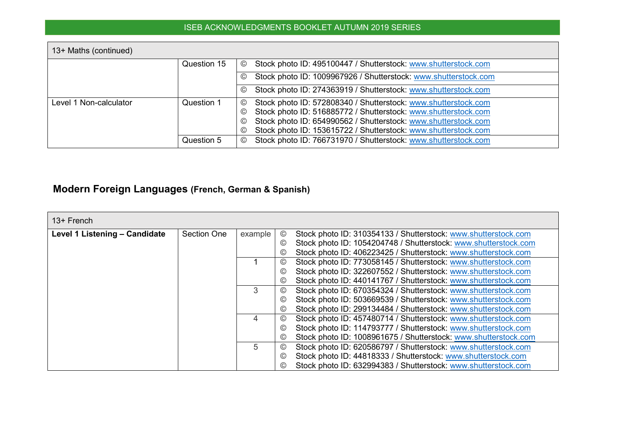| 13+ Maths (continued)  |             |                                                                                   |
|------------------------|-------------|-----------------------------------------------------------------------------------|
|                        | Question 15 | Stock photo ID: 495100447 / Shutterstock: www.shutterstock.com<br>©               |
|                        |             | Stock photo ID: 1009967926 / Shutterstock: www.shutterstock.com<br>©              |
|                        |             | Stock photo ID: 274363919 / Shutterstock: www.shutterstock.com<br>$_{\mathbb{O}}$ |
| Level 1 Non-calculator | Question 1  | Stock photo ID: 572808340 / Shutterstock: www.shutterstock.com<br>©               |
|                        |             | Stock photo ID: 516885772 / Shutterstock: www.shutterstock.com<br>©               |
|                        |             | Stock photo ID: 654990562 / Shutterstock: www.shutterstock.com<br>$_{\mathbb{O}}$ |
|                        |             | Stock photo ID: 153615722 / Shutterstock: www.shutterstock.com<br>©               |
|                        | Question 5  | Stock photo ID: 766731970 / Shutterstock: www.shutterstock.com<br>©               |

# **Modern Foreign Languages (French, German & Spanish)**

<span id="page-4-0"></span>

| 13+ French                    |                    |         |                |                                                                 |
|-------------------------------|--------------------|---------|----------------|-----------------------------------------------------------------|
| Level 1 Listening - Candidate | <b>Section One</b> | example | $^{\circledR}$ | Stock photo ID: 310354133 / Shutterstock: www.shutterstock.com  |
|                               |                    |         | $^{\circledR}$ | Stock photo ID: 1054204748 / Shutterstock: www.shutterstock.com |
|                               |                    |         | $\odot$        | Stock photo ID: 406223425 / Shutterstock: www.shutterstock.com  |
|                               |                    |         | $_{\odot}$     | Stock photo ID: 773058145 / Shutterstock: www.shutterstock.com  |
|                               |                    |         | $_{\odot}$     | Stock photo ID: 322607552 / Shutterstock: www.shutterstock.com  |
|                               |                    |         | $_{\odot}$     | Stock photo ID: 440141767 / Shutterstock: www.shutterstock.com  |
|                               |                    | 3       | $_{\odot}$     | Stock photo ID: 670354324 / Shutterstock: www.shutterstock.com  |
|                               |                    |         | $_{\odot}$     | Stock photo ID: 503669539 / Shutterstock: www.shutterstock.com  |
|                               |                    |         | $\odot$        | Stock photo ID: 299134484 / Shutterstock: www.shutterstock.com  |
|                               |                    | 4       | $_{\odot}$     | Stock photo ID: 457480714 / Shutterstock: www.shutterstock.com  |
|                               |                    |         | $_{\odot}$     | Stock photo ID: 114793777 / Shutterstock: www.shutterstock.com  |
|                               |                    |         | $_{\odot}$     | Stock photo ID: 1008961675 / Shutterstock: www.shutterstock.com |
|                               |                    | 5       | $_{\odot}$     | Stock photo ID: 620586797 / Shutterstock: www.shutterstock.com  |
|                               |                    |         | $_{\odot}$     | Stock photo ID: 44818333 / Shutterstock: www.shutterstock.com   |
|                               |                    |         | $\odot$        | Stock photo ID: 632994383 / Shutterstock: www.shutterstock.com  |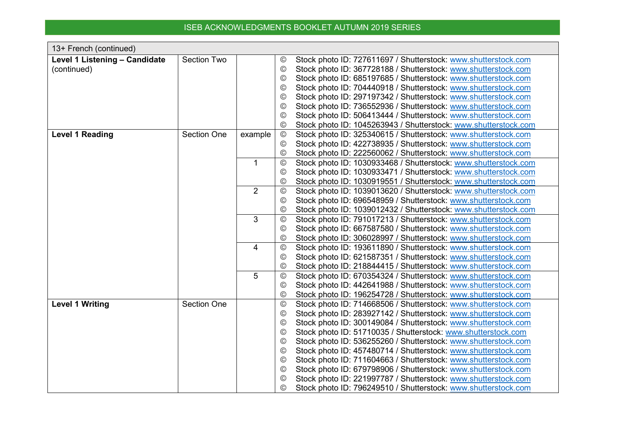| 13+ French (continued)        |                    |                |                                  |                                                                                                                                  |
|-------------------------------|--------------------|----------------|----------------------------------|----------------------------------------------------------------------------------------------------------------------------------|
| Level 1 Listening - Candidate | <b>Section Two</b> |                | $^{\circledR}$                   | Stock photo ID: 727611697 / Shutterstock: www.shutterstock.com                                                                   |
| (continued)                   |                    |                | $\circled{c}$                    | Stock photo ID: 367728188 / Shutterstock: www.shutterstock.com                                                                   |
|                               |                    |                | $\circledcirc$                   | Stock photo ID: 685197685 / Shutterstock: www.shutterstock.com                                                                   |
|                               |                    |                | $\circledcirc$                   | Stock photo ID: 704440918 / Shutterstock: www.shutterstock.com                                                                   |
|                               |                    |                | $\circled{c}$                    | Stock photo ID: 297197342 / Shutterstock: www.shutterstock.com                                                                   |
|                               |                    |                | $\circledcirc$                   | Stock photo ID: 736552936 / Shutterstock: www.shutterstock.com                                                                   |
|                               |                    |                | $\circled{c}$                    | Stock photo ID: 506413444 / Shutterstock: www.shutterstock.com                                                                   |
|                               |                    |                | $_{\mathbb{C}}$                  | Stock photo ID: 1045263943 / Shutterstock: www.shutterstock.com                                                                  |
| <b>Level 1 Reading</b>        | <b>Section One</b> | example        | $^{\copyright}$                  | Stock photo ID: 325340615 / Shutterstock: www.shutterstock.com                                                                   |
|                               |                    |                | $\circled{c}$                    | Stock photo ID: 422738935 / Shutterstock: www.shutterstock.com                                                                   |
|                               |                    |                | $\circledcirc$                   | Stock photo ID: 222560062 / Shutterstock: www.shutterstock.com                                                                   |
|                               |                    | $\mathbf{1}$   | $_{\mathbb{C}}$                  | Stock photo ID: 1030933468 / Shutterstock: www.shutterstock.com                                                                  |
|                               |                    |                | $\circledcirc$                   | Stock photo ID: 1030933471 / Shutterstock: www.shutterstock.com                                                                  |
|                               |                    |                | ©                                | Stock photo ID: 1030919551 / Shutterstock: www.shutterstock.com                                                                  |
|                               |                    | $\overline{2}$ | $\circledcirc$                   | Stock photo ID: 1039013620 / Shutterstock: www.shutterstock.com                                                                  |
|                               |                    |                | $\circled{c}$                    | Stock photo ID: 696548959 / Shutterstock: www.shutterstock.com                                                                   |
|                               |                    |                | $^\copyright$                    | Stock photo ID: 1039012432 / Shutterstock: www.shutterstock.com                                                                  |
|                               |                    | 3              | $\circledcirc$                   | Stock photo ID: 791017213 / Shutterstock: www.shutterstock.com                                                                   |
|                               |                    |                | $^{\circledR}$                   | Stock photo ID: 667587580 / Shutterstock: www.shutterstock.com                                                                   |
|                               |                    | 4              | $^\copyright$<br>$_{\mathbb{C}}$ | Stock photo ID: 306028997 / Shutterstock: www.shutterstock.com                                                                   |
|                               |                    |                | $^{\circledR}$                   | Stock photo ID: 193611890 / Shutterstock: www.shutterstock.com<br>Stock photo ID: 621587351 / Shutterstock: www.shutterstock.com |
|                               |                    |                | $^\copyright$                    | Stock photo ID: 218844415 / Shutterstock: www.shutterstock.com                                                                   |
|                               |                    | 5              | $_{\mathbb{C}}$                  | Stock photo ID: 670354324 / Shutterstock: www.shutterstock.com                                                                   |
|                               |                    |                | $^{\copyright}$                  | Stock photo ID: 442641988 / Shutterstock: www.shutterstock.com                                                                   |
|                               |                    |                | $^{\circledR}$                   | Stock photo ID: 196254728 / Shutterstock: www.shutterstock.com                                                                   |
| <b>Level 1 Writing</b>        | <b>Section One</b> |                | $\odot$                          | Stock photo ID: 714668506 / Shutterstock: www.shutterstock.com                                                                   |
|                               |                    |                | $\circledcirc$                   | Stock photo ID: 283927142 / Shutterstock: www.shutterstock.com                                                                   |
|                               |                    |                | $\circledcirc$                   | Stock photo ID: 300149084 / Shutterstock: www.shutterstock.com                                                                   |
|                               |                    |                | $\circledcirc$                   | Stock photo ID: 51710035 / Shutterstock: www.shutterstock.com                                                                    |
|                               |                    |                | $\circledcirc$                   | Stock photo ID: 536255260 / Shutterstock: www.shutterstock.com                                                                   |
|                               |                    |                | $\circledcirc$                   | Stock photo ID: 457480714 / Shutterstock: www.shutterstock.com                                                                   |
|                               |                    |                | $_{\mathbb{C}}$                  | Stock photo ID: 711604663 / Shutterstock: www.shutterstock.com                                                                   |
|                               |                    |                | $_{\mathbb{C}}$                  | Stock photo ID: 679798906 / Shutterstock: www.shutterstock.com                                                                   |
|                               |                    |                | $_{\mathbb{C}}$                  | Stock photo ID: 221997787 / Shutterstock: www.shutterstock.com                                                                   |
|                               |                    |                | $_{\odot}$                       | Stock photo ID: 796249510 / Shutterstock: www.shutterstock.com                                                                   |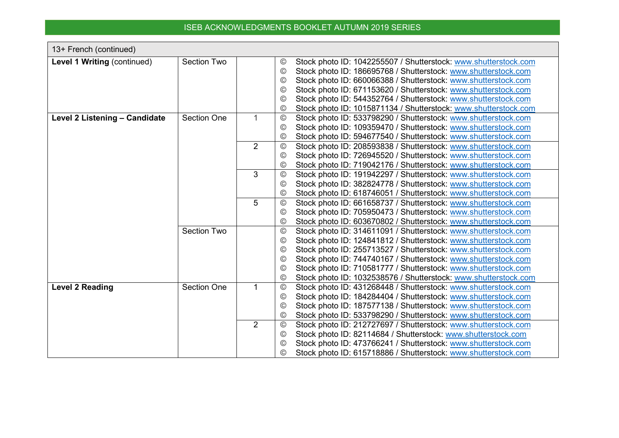| 13+ French (continued)        |                                          |                               |                                                                                                                                                                                                                                                                                                                                                                                                                                                                                                                                                                                                                                                                                                                                                                                                                                                                                                                                                                                                                                                                                                                                                                                                                                                                                                                                                                                                                                                                                                                                                                                                                                                                                                                                              |
|-------------------------------|------------------------------------------|-------------------------------|----------------------------------------------------------------------------------------------------------------------------------------------------------------------------------------------------------------------------------------------------------------------------------------------------------------------------------------------------------------------------------------------------------------------------------------------------------------------------------------------------------------------------------------------------------------------------------------------------------------------------------------------------------------------------------------------------------------------------------------------------------------------------------------------------------------------------------------------------------------------------------------------------------------------------------------------------------------------------------------------------------------------------------------------------------------------------------------------------------------------------------------------------------------------------------------------------------------------------------------------------------------------------------------------------------------------------------------------------------------------------------------------------------------------------------------------------------------------------------------------------------------------------------------------------------------------------------------------------------------------------------------------------------------------------------------------------------------------------------------------|
| Level 1 Writing (continued)   | <b>Section Two</b>                       |                               | Stock photo ID: 1042255507 / Shutterstock: www.shutterstock.com<br>©                                                                                                                                                                                                                                                                                                                                                                                                                                                                                                                                                                                                                                                                                                                                                                                                                                                                                                                                                                                                                                                                                                                                                                                                                                                                                                                                                                                                                                                                                                                                                                                                                                                                         |
|                               |                                          |                               | Stock photo ID: 186695768 / Shutterstock: www.shutterstock.com<br>$\odot$                                                                                                                                                                                                                                                                                                                                                                                                                                                                                                                                                                                                                                                                                                                                                                                                                                                                                                                                                                                                                                                                                                                                                                                                                                                                                                                                                                                                                                                                                                                                                                                                                                                                    |
|                               |                                          |                               | Stock photo ID: 660066388 / Shutterstock: www.shutterstock.com<br>©                                                                                                                                                                                                                                                                                                                                                                                                                                                                                                                                                                                                                                                                                                                                                                                                                                                                                                                                                                                                                                                                                                                                                                                                                                                                                                                                                                                                                                                                                                                                                                                                                                                                          |
|                               |                                          |                               | Stock photo ID: 671153620 / Shutterstock: www.shutterstock.com<br>$_{\odot}$                                                                                                                                                                                                                                                                                                                                                                                                                                                                                                                                                                                                                                                                                                                                                                                                                                                                                                                                                                                                                                                                                                                                                                                                                                                                                                                                                                                                                                                                                                                                                                                                                                                                 |
|                               |                                          |                               | Stock photo ID: 544352764 / Shutterstock: www.shutterstock.com<br>$\odot$                                                                                                                                                                                                                                                                                                                                                                                                                                                                                                                                                                                                                                                                                                                                                                                                                                                                                                                                                                                                                                                                                                                                                                                                                                                                                                                                                                                                                                                                                                                                                                                                                                                                    |
|                               |                                          |                               | Stock photo ID: 1015871134 / Shutterstock: www.shutterstock.com<br>$_{\mathbb{C}}$                                                                                                                                                                                                                                                                                                                                                                                                                                                                                                                                                                                                                                                                                                                                                                                                                                                                                                                                                                                                                                                                                                                                                                                                                                                                                                                                                                                                                                                                                                                                                                                                                                                           |
| Level 2 Listening - Candidate | <b>Section One</b>                       | 1                             | Stock photo ID: 533798290 / Shutterstock: www.shutterstock.com<br>$_{\mathbb{C}}$                                                                                                                                                                                                                                                                                                                                                                                                                                                                                                                                                                                                                                                                                                                                                                                                                                                                                                                                                                                                                                                                                                                                                                                                                                                                                                                                                                                                                                                                                                                                                                                                                                                            |
|                               |                                          |                               | Stock photo ID: 109359470 / Shutterstock: www.shutterstock.com<br>$_{\odot}$                                                                                                                                                                                                                                                                                                                                                                                                                                                                                                                                                                                                                                                                                                                                                                                                                                                                                                                                                                                                                                                                                                                                                                                                                                                                                                                                                                                                                                                                                                                                                                                                                                                                 |
|                               |                                          |                               | Stock photo ID: 594677540 / Shutterstock: www.shutterstock.com<br>$_{\mathbb{C}}$                                                                                                                                                                                                                                                                                                                                                                                                                                                                                                                                                                                                                                                                                                                                                                                                                                                                                                                                                                                                                                                                                                                                                                                                                                                                                                                                                                                                                                                                                                                                                                                                                                                            |
|                               |                                          | 2                             | Stock photo ID: 208593838 / Shutterstock: www.shutterstock.com<br>$^{\circledR}$                                                                                                                                                                                                                                                                                                                                                                                                                                                                                                                                                                                                                                                                                                                                                                                                                                                                                                                                                                                                                                                                                                                                                                                                                                                                                                                                                                                                                                                                                                                                                                                                                                                             |
|                               |                                          |                               | Stock photo ID: 726945520 / Shutterstock: www.shutterstock.com<br>©                                                                                                                                                                                                                                                                                                                                                                                                                                                                                                                                                                                                                                                                                                                                                                                                                                                                                                                                                                                                                                                                                                                                                                                                                                                                                                                                                                                                                                                                                                                                                                                                                                                                          |
|                               |                                          |                               |                                                                                                                                                                                                                                                                                                                                                                                                                                                                                                                                                                                                                                                                                                                                                                                                                                                                                                                                                                                                                                                                                                                                                                                                                                                                                                                                                                                                                                                                                                                                                                                                                                                                                                                                              |
|                               |                                          |                               |                                                                                                                                                                                                                                                                                                                                                                                                                                                                                                                                                                                                                                                                                                                                                                                                                                                                                                                                                                                                                                                                                                                                                                                                                                                                                                                                                                                                                                                                                                                                                                                                                                                                                                                                              |
|                               |                                          |                               | $\odot$                                                                                                                                                                                                                                                                                                                                                                                                                                                                                                                                                                                                                                                                                                                                                                                                                                                                                                                                                                                                                                                                                                                                                                                                                                                                                                                                                                                                                                                                                                                                                                                                                                                                                                                                      |
|                               |                                          |                               |                                                                                                                                                                                                                                                                                                                                                                                                                                                                                                                                                                                                                                                                                                                                                                                                                                                                                                                                                                                                                                                                                                                                                                                                                                                                                                                                                                                                                                                                                                                                                                                                                                                                                                                                              |
|                               |                                          |                               |                                                                                                                                                                                                                                                                                                                                                                                                                                                                                                                                                                                                                                                                                                                                                                                                                                                                                                                                                                                                                                                                                                                                                                                                                                                                                                                                                                                                                                                                                                                                                                                                                                                                                                                                              |
|                               |                                          |                               |                                                                                                                                                                                                                                                                                                                                                                                                                                                                                                                                                                                                                                                                                                                                                                                                                                                                                                                                                                                                                                                                                                                                                                                                                                                                                                                                                                                                                                                                                                                                                                                                                                                                                                                                              |
|                               |                                          |                               |                                                                                                                                                                                                                                                                                                                                                                                                                                                                                                                                                                                                                                                                                                                                                                                                                                                                                                                                                                                                                                                                                                                                                                                                                                                                                                                                                                                                                                                                                                                                                                                                                                                                                                                                              |
|                               |                                          |                               |                                                                                                                                                                                                                                                                                                                                                                                                                                                                                                                                                                                                                                                                                                                                                                                                                                                                                                                                                                                                                                                                                                                                                                                                                                                                                                                                                                                                                                                                                                                                                                                                                                                                                                                                              |
|                               |                                          |                               |                                                                                                                                                                                                                                                                                                                                                                                                                                                                                                                                                                                                                                                                                                                                                                                                                                                                                                                                                                                                                                                                                                                                                                                                                                                                                                                                                                                                                                                                                                                                                                                                                                                                                                                                              |
|                               |                                          |                               |                                                                                                                                                                                                                                                                                                                                                                                                                                                                                                                                                                                                                                                                                                                                                                                                                                                                                                                                                                                                                                                                                                                                                                                                                                                                                                                                                                                                                                                                                                                                                                                                                                                                                                                                              |
|                               |                                          |                               |                                                                                                                                                                                                                                                                                                                                                                                                                                                                                                                                                                                                                                                                                                                                                                                                                                                                                                                                                                                                                                                                                                                                                                                                                                                                                                                                                                                                                                                                                                                                                                                                                                                                                                                                              |
|                               |                                          |                               |                                                                                                                                                                                                                                                                                                                                                                                                                                                                                                                                                                                                                                                                                                                                                                                                                                                                                                                                                                                                                                                                                                                                                                                                                                                                                                                                                                                                                                                                                                                                                                                                                                                                                                                                              |
|                               |                                          |                               |                                                                                                                                                                                                                                                                                                                                                                                                                                                                                                                                                                                                                                                                                                                                                                                                                                                                                                                                                                                                                                                                                                                                                                                                                                                                                                                                                                                                                                                                                                                                                                                                                                                                                                                                              |
|                               |                                          |                               |                                                                                                                                                                                                                                                                                                                                                                                                                                                                                                                                                                                                                                                                                                                                                                                                                                                                                                                                                                                                                                                                                                                                                                                                                                                                                                                                                                                                                                                                                                                                                                                                                                                                                                                                              |
|                               |                                          |                               |                                                                                                                                                                                                                                                                                                                                                                                                                                                                                                                                                                                                                                                                                                                                                                                                                                                                                                                                                                                                                                                                                                                                                                                                                                                                                                                                                                                                                                                                                                                                                                                                                                                                                                                                              |
|                               |                                          |                               |                                                                                                                                                                                                                                                                                                                                                                                                                                                                                                                                                                                                                                                                                                                                                                                                                                                                                                                                                                                                                                                                                                                                                                                                                                                                                                                                                                                                                                                                                                                                                                                                                                                                                                                                              |
|                               |                                          |                               |                                                                                                                                                                                                                                                                                                                                                                                                                                                                                                                                                                                                                                                                                                                                                                                                                                                                                                                                                                                                                                                                                                                                                                                                                                                                                                                                                                                                                                                                                                                                                                                                                                                                                                                                              |
|                               |                                          |                               |                                                                                                                                                                                                                                                                                                                                                                                                                                                                                                                                                                                                                                                                                                                                                                                                                                                                                                                                                                                                                                                                                                                                                                                                                                                                                                                                                                                                                                                                                                                                                                                                                                                                                                                                              |
|                               |                                          |                               |                                                                                                                                                                                                                                                                                                                                                                                                                                                                                                                                                                                                                                                                                                                                                                                                                                                                                                                                                                                                                                                                                                                                                                                                                                                                                                                                                                                                                                                                                                                                                                                                                                                                                                                                              |
|                               |                                          |                               |                                                                                                                                                                                                                                                                                                                                                                                                                                                                                                                                                                                                                                                                                                                                                                                                                                                                                                                                                                                                                                                                                                                                                                                                                                                                                                                                                                                                                                                                                                                                                                                                                                                                                                                                              |
| <b>Level 2 Reading</b>        | <b>Section Two</b><br><b>Section One</b> | 3<br>5<br>1<br>$\overline{2}$ | $^{\circledR}$<br>Stock photo ID: 719042176 / Shutterstock: www.shutterstock.com<br>Stock photo ID: 191942297 / Shutterstock: www.shutterstock.com<br>$^{\circledR}$<br>Stock photo ID: 382824778 / Shutterstock: www.shutterstock.com<br>Stock photo ID: 618746051 / Shutterstock: www.shutterstock.com<br>$^{\circledR}$<br>Stock photo ID: 661658737 / Shutterstock: www.shutterstock.com<br>$\circledcirc$<br>Stock photo ID: 705950473 / Shutterstock: www.shutterstock.com<br>$\circledcirc$<br>Stock photo ID: 603670802 / Shutterstock: www.shutterstock.com<br>$_{\odot}$<br>Stock photo ID: 314611091 / Shutterstock: www.shutterstock.com<br>$\circledcirc$<br>Stock photo ID: 124841812 / Shutterstock: www.shutterstock.com<br>$_{\odot}$<br>Stock photo ID: 255713527 / Shutterstock: www.shutterstock.com<br>©<br>Stock photo ID: 744740167 / Shutterstock: www.shutterstock.com<br>$\odot$<br>Stock photo ID: 710581777 / Shutterstock: www.shutterstock.com<br>$\odot$<br>Stock photo ID: 1032538576 / Shutterstock: www.shutterstock.com<br>$\circledcirc$<br>Stock photo ID: 431268448 / Shutterstock: www.shutterstock.com<br>$\circledcirc$<br>Stock photo ID: 184284404 / Shutterstock: www.shutterstock.com<br>$_{\odot}$<br>Stock photo ID: 187577138 / Shutterstock: www.shutterstock.com<br>$\odot$<br>Stock photo ID: 533798290 / Shutterstock: www.shutterstock.com<br>$^{\circledR}$<br>Stock photo ID: 212727697 / Shutterstock: www.shutterstock.com<br>$\circledcirc$<br>Stock photo ID: 82114684 / Shutterstock: www.shutterstock.com<br>$\odot$<br>Stock photo ID: 473766241 / Shutterstock: www.shutterstock.com<br>$\circledcirc$<br>Stock photo ID: 615718886 / Shutterstock: www.shutterstock.com<br>◎ |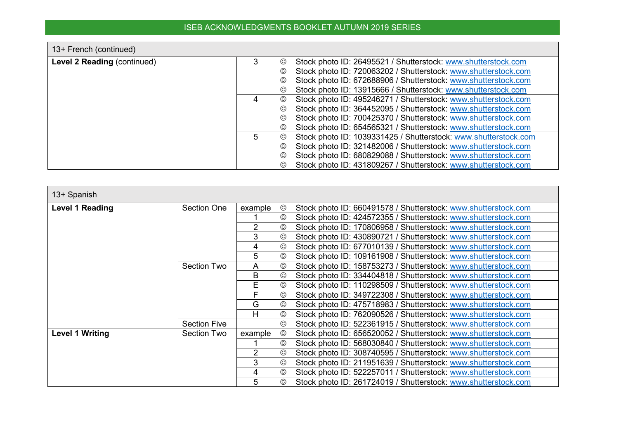٦

 $\blacksquare$ 

| 13+ French (continued)      |                      |                                                                 |
|-----------------------------|----------------------|-----------------------------------------------------------------|
| Level 2 Reading (continued) | 3<br>©               | Stock photo ID: 26495521 / Shutterstock: www.shutterstock.com   |
|                             | $_{\mathbb{C}}$      | Stock photo ID: 720063202 / Shutterstock: www.shutterstock.com  |
|                             | $\odot$              | Stock photo ID: 672688906 / Shutterstock: www.shutterstock.com  |
|                             | $_{\mathbb{C}}$      | Stock photo ID: 13915666 / Shutterstock: www.shutterstock.com   |
|                             | $_{\mathbb{O}}$<br>4 | Stock photo ID: 495246271 / Shutterstock: www.shutterstock.com  |
|                             | ©                    | Stock photo ID: 364452095 / Shutterstock: www.shutterstock.com  |
|                             | $_{\mathbb{C}}$      | Stock photo ID: 700425370 / Shutterstock: www.shutterstock.com  |
|                             | $_{\mathbb{C}}$      | Stock photo ID: 654565321 / Shutterstock: www.shutterstock.com  |
|                             | 5<br>$\odot$         | Stock photo ID: 1039331425 / Shutterstock: www.shutterstock.com |
|                             | $^{\copyright}$      | Stock photo ID: 321482006 / Shutterstock: www.shutterstock.com  |
|                             | $_{\mathbb{O}}$      | Stock photo ID: 680829088 / Shutterstock: www.shutterstock.com  |
|                             | ©                    | Stock photo ID: 431809267 / Shutterstock: www.shutterstock.com  |

| 13+ Spanish            |                     |         |                 |                                                                |
|------------------------|---------------------|---------|-----------------|----------------------------------------------------------------|
| <b>Level 1 Reading</b> | <b>Section One</b>  | example | $\circledcirc$  | Stock photo ID: 660491578 / Shutterstock: www.shutterstock.com |
|                        |                     |         | $^{\circ}$      | Stock photo ID: 424572355 / Shutterstock: www.shutterstock.com |
|                        |                     | 2       | $^{\circ}$      | Stock photo ID: 170806958 / Shutterstock: www.shutterstock.com |
|                        |                     | 3       | $^{\circ}$      | Stock photo ID: 430890721 / Shutterstock: www.shutterstock.com |
|                        |                     | 4       | $^{\circ}$      | Stock photo ID: 677010139 / Shutterstock: www.shutterstock.com |
|                        |                     | 5       | $^{\circ}$      | Stock photo ID: 109161908 / Shutterstock: www.shutterstock.com |
|                        | <b>Section Two</b>  | A       | $^{\circ}$      | Stock photo ID: 158753273 / Shutterstock: www.shutterstock.com |
|                        |                     | B       | $^{\circ}$      | Stock photo ID: 334404818 / Shutterstock: www.shutterstock.com |
|                        |                     | E       | $^{\circ}$      | Stock photo ID: 110298509 / Shutterstock: www.shutterstock.com |
|                        |                     | F       | $\odot$         | Stock photo ID: 349722308 / Shutterstock: www.shutterstock.com |
|                        |                     | G       | $^{\circ}$      | Stock photo ID: 475718983 / Shutterstock: www.shutterstock.com |
|                        |                     | H       | $\odot$         | Stock photo ID: 762090526 / Shutterstock: www.shutterstock.com |
|                        | <b>Section Five</b> |         | $_{\mathbb{O}}$ | Stock photo ID: 522361915 / Shutterstock: www.shutterstock.com |
| <b>Level 1 Writing</b> | Section Two         | example | $^{\circledR}$  | Stock photo ID: 656520052 / Shutterstock: www.shutterstock.com |
|                        |                     |         | $^{\circ}$      | Stock photo ID: 568030840 / Shutterstock: www.shutterstock.com |
|                        |                     | 2       | $^{\circ}$      | Stock photo ID: 308740595 / Shutterstock: www.shutterstock.com |
|                        |                     | 3       | $\odot$         | Stock photo ID: 211951639 / Shutterstock: www.shutterstock.com |
|                        |                     | 4       | $^{\circ}$      | Stock photo ID: 522257011 / Shutterstock: www.shutterstock.com |
|                        |                     | 5       | $\circledcirc$  | Stock photo ID: 261724019 / Shutterstock: www.shutterstock.com |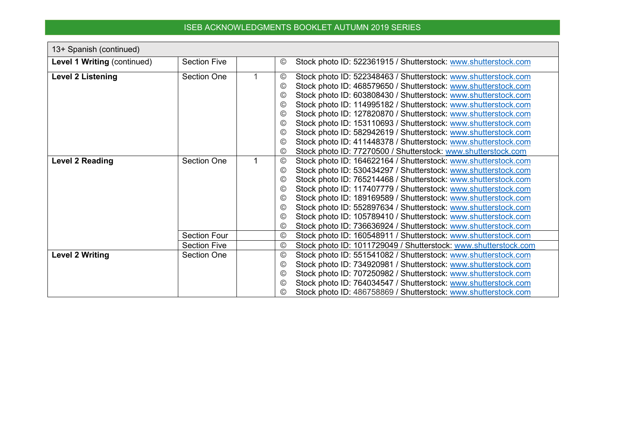| 13+ Spanish (continued)     |                     |                |                                                                 |
|-----------------------------|---------------------|----------------|-----------------------------------------------------------------|
| Level 1 Writing (continued) | <b>Section Five</b> | ©              | Stock photo ID: 522361915 / Shutterstock: www.shutterstock.com  |
| <b>Level 2 Listening</b>    | <b>Section One</b>  | $\circledcirc$ | Stock photo ID: 522348463 / Shutterstock: www.shutterstock.com  |
|                             |                     | $\circledcirc$ | Stock photo ID: 468579650 / Shutterstock: www.shutterstock.com  |
|                             |                     | $\circled{c}$  | Stock photo ID: 603808430 / Shutterstock: www.shutterstock.com  |
|                             |                     | $\odot$        | Stock photo ID: 114995182 / Shutterstock: www.shutterstock.com  |
|                             |                     | $\circledcirc$ | Stock photo ID: 127820870 / Shutterstock: www.shutterstock.com  |
|                             |                     | $\odot$        | Stock photo ID: 153110693 / Shutterstock: www.shutterstock.com  |
|                             |                     | $\circledcirc$ | Stock photo ID: 582942619 / Shutterstock: www.shutterstock.com  |
|                             |                     | $\odot$        | Stock photo ID: 411448378 / Shutterstock: www.shutterstock.com  |
|                             |                     | $\circledcirc$ | Stock photo ID: 77270500 / Shutterstock: www.shutterstock.com   |
| <b>Level 2 Reading</b>      | <b>Section One</b>  | $\circledcirc$ | Stock photo ID: 164622164 / Shutterstock: www.shutterstock.com  |
|                             |                     | $\circledcirc$ | Stock photo ID: 530434297 / Shutterstock: www.shutterstock.com  |
|                             |                     | $\circledcirc$ | Stock photo ID: 765214468 / Shutterstock: www.shutterstock.com  |
|                             |                     | $\odot$        | Stock photo ID: 117407779 / Shutterstock: www.shutterstock.com  |
|                             |                     | $\odot$        | Stock photo ID: 189169589 / Shutterstock: www.shutterstock.com  |
|                             |                     | ©              | Stock photo ID: 552897634 / Shutterstock: www.shutterstock.com  |
|                             |                     | $\circled{c}$  | Stock photo ID: 105789410 / Shutterstock: www.shutterstock.com  |
|                             |                     | $\circledcirc$ | Stock photo ID: 736636924 / Shutterstock: www.shutterstock.com  |
|                             | <b>Section Four</b> | $^{\circledR}$ | Stock photo ID: 160548911 / Shutterstock: www.shutterstock.com  |
|                             | <b>Section Five</b> | $\circledcirc$ | Stock photo ID: 1011729049 / Shutterstock: www.shutterstock.com |
| <b>Level 2 Writing</b>      | Section One         | $\odot$        | Stock photo ID: 551541082 / Shutterstock: www.shutterstock.com  |
|                             |                     | $\odot$        | Stock photo ID: 734920981 / Shutterstock: www.shutterstock.com  |
|                             |                     | $\circledcirc$ | Stock photo ID: 707250982 / Shutterstock: www.shutterstock.com  |
|                             |                     | $\circledcirc$ | Stock photo ID: 764034547 / Shutterstock: www.shutterstock.com  |
|                             |                     | $\circledcirc$ | Stock photo ID: 486758869 / Shutterstock: www.shutterstock.com  |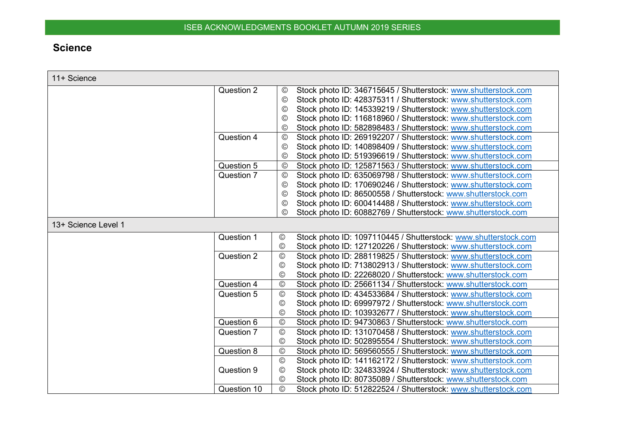# **Science**

<span id="page-9-0"></span>

| 11+ Science         |                                                                                   |
|---------------------|-----------------------------------------------------------------------------------|
| Question 2          | Stock photo ID: 346715645 / Shutterstock: www.shutterstock.com<br>$\odot$         |
|                     | Stock photo ID: 428375311 / Shutterstock: www.shutterstock.com<br>$_{\copyright}$ |
|                     | Stock photo ID: 145339219 / Shutterstock: www.shutterstock.com<br>$\rm (C)$       |
|                     | Stock photo ID: 116818960 / Shutterstock: www.shutterstock.com<br>$\odot$         |
|                     | Stock photo ID: 582898483 / Shutterstock: www.shutterstock.com<br>$_{\mathbb{O}}$ |
| Question 4          | Stock photo ID: 269192207 / Shutterstock: www.shutterstock.com<br>$^{\circledR}$  |
|                     | Stock photo ID: 140898409 / Shutterstock: www.shutterstock.com<br>$_{\copyright}$ |
|                     | Stock photo ID: 519396619 / Shutterstock: www.shutterstock.com<br>$_{\copyright}$ |
| Question 5          | Stock photo ID: 125871563 / Shutterstock: www.shutterstock.com<br>$^{\copyright}$ |
| Question 7          | Stock photo ID: 635069798 / Shutterstock: www.shutterstock.com<br>$^{\circ}$      |
|                     | Stock photo ID: 170690246 / Shutterstock: www.shutterstock.com<br>$\odot$         |
|                     | Stock photo ID: 86500558 / Shutterstock: www.shutterstock.com<br>$\odot$          |
|                     | Stock photo ID: 600414488 / Shutterstock: www.shutterstock.com<br>$\odot$         |
|                     | Stock photo ID: 60882769 / Shutterstock: www.shutterstock.com<br>$_{\mathbb{C}}$  |
| 13+ Science Level 1 |                                                                                   |
| Question 1          | Stock photo ID: 1097110445 / Shutterstock: www.shutterstock.com<br>$\circledcirc$ |
|                     | Stock photo ID: 127120226 / Shutterstock: www.shutterstock.com<br>$^{\circledR}$  |
| Question 2          | $\odot$<br>Stock photo ID: 288119825 / Shutterstock: www.shutterstock.com         |
|                     | $\odot$<br>Stock photo ID: 713802913 / Shutterstock: www.shutterstock.com         |
|                     | Stock photo ID: 22268020 / Shutterstock: www.shutterstock.com<br>$^{\circledR}$   |
| Question 4          | $\odot$<br>Stock photo ID: 25661134 / Shutterstock: www.shutterstock.com          |
| Question 5          | $\odot$<br>Stock photo ID: 434533684 / Shutterstock: www.shutterstock.com         |
|                     | Stock photo ID: 69997972 / Shutterstock: www.shutterstock.com<br>$\odot$          |
|                     | $\odot$<br>Stock photo ID: 103932677 / Shutterstock: www.shutterstock.com         |
| Question 6          | $\odot$<br>Stock photo ID: 94730863 / Shutterstock: www.shutterstock.com          |
| Question 7          | $\odot$<br>Stock photo ID: 131070458 / Shutterstock: www.shutterstock.com         |
|                     | $\circledcirc$<br>Stock photo ID: 502895554 / Shutterstock: www.shutterstock.com  |
| Question 8          | $\odot$<br>Stock photo ID: 569560555 / Shutterstock: www.shutterstock.com         |
|                     | $\odot$<br>Stock photo ID: 141162172 / Shutterstock: www.shutterstock.com         |
| Question 9          | Stock photo ID: 324833924 / Shutterstock: www.shutterstock.com<br>$\odot$         |
|                     | Stock photo ID: 80735089 / Shutterstock: www.shutterstock.com<br>$\circledcirc$   |
| Question 10         | $\odot$<br>Stock photo ID: 512822524 / Shutterstock: www.shutterstock.com         |